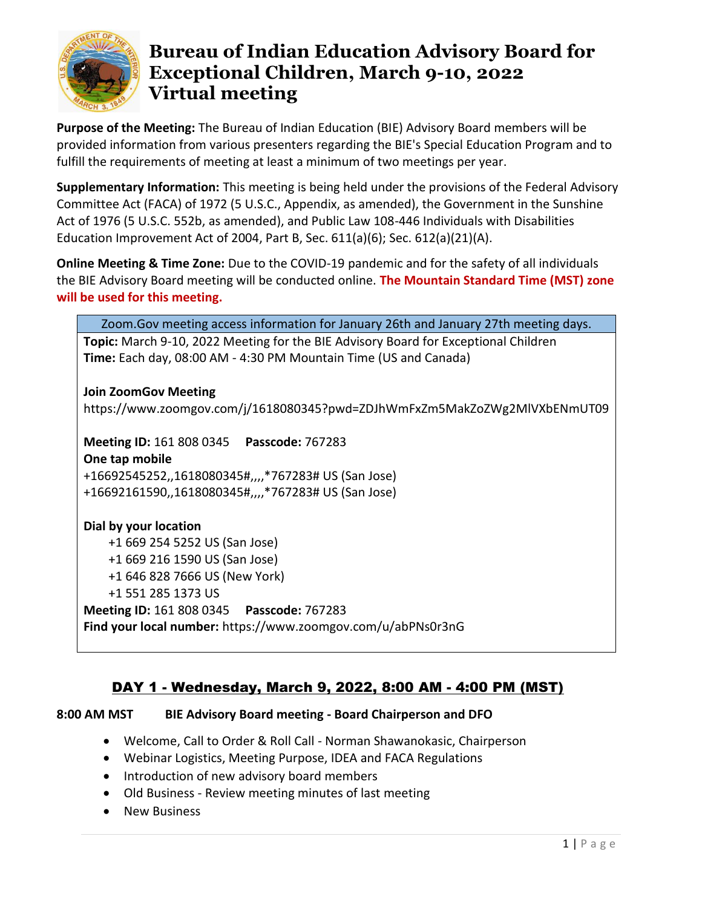

**Purpose of the Meeting:** The Bureau of Indian Education (BIE) Advisory Board members will be provided information from various presenters regarding the BIE's Special Education Program and to fulfill the requirements of meeting at least a minimum of two meetings per year.

**Supplementary Information:** This meeting is being held under the provisions of the Federal Advisory Committee Act (FACA) of 1972 (5 U.S.C., Appendix, as amended), the Government in the Sunshine Act of 1976 (5 U.S.C. 552b, as amended), and Public Law 108-446 Individuals with Disabilities Education Improvement Act of 2004, Part B, Sec. 611(a)(6); Sec. 612(a)(21)(A).

**Online Meeting & Time Zone:** Due to the COVID-19 pandemic and for the safety of all individuals the BIE Advisory Board meeting will be conducted online. **The Mountain Standard Time (MST) zone will be used for this meeting.**

| Zoom. Gov meeting access information for January 26th and January 27th meeting days. |
|--------------------------------------------------------------------------------------|
| Topic: March 9-10, 2022 Meeting for the BIE Advisory Board for Exceptional Children  |
| Time: Each day, 08:00 AM - 4:30 PM Mountain Time (US and Canada)                     |
|                                                                                      |
| <b>Join ZoomGov Meeting</b>                                                          |
| https://www.zoomgov.com/j/1618080345?pwd=ZDJhWmFxZm5MakZoZWg2MlVXbENmUT09            |
|                                                                                      |
| Meeting ID: 161 808 0345  Passcode: 767283                                           |
| One tap mobile                                                                       |
| +16692545252,,1618080345#,,,,*767283# US (San Jose)                                  |
| +16692161590,,1618080345#,,,,*767283# US (San Jose)                                  |
|                                                                                      |
| Dial by your location                                                                |
| +1 669 254 5252 US (San Jose)                                                        |
| +1 669 216 1590 US (San Jose)                                                        |
| +1 646 828 7666 US (New York)                                                        |
| +1 551 285 1373 US                                                                   |
| Meeting ID: 161 808 0345  Passcode: 767283                                           |
| Find your local number: https://www.zoomgov.com/u/abPNs0r3nG                         |

## DAY 1 - Wednesday, March 9, 2022, 8:00 AM - 4:00 PM (MST)

### **8:00 AM MST BIE Advisory Board meeting - Board Chairperson and DFO**

- Welcome, Call to Order & Roll Call Norman Shawanokasic, Chairperson
- Webinar Logistics, Meeting Purpose, IDEA and FACA Regulations
- Introduction of new advisory board members
- Old Business Review meeting minutes of last meeting
- New Business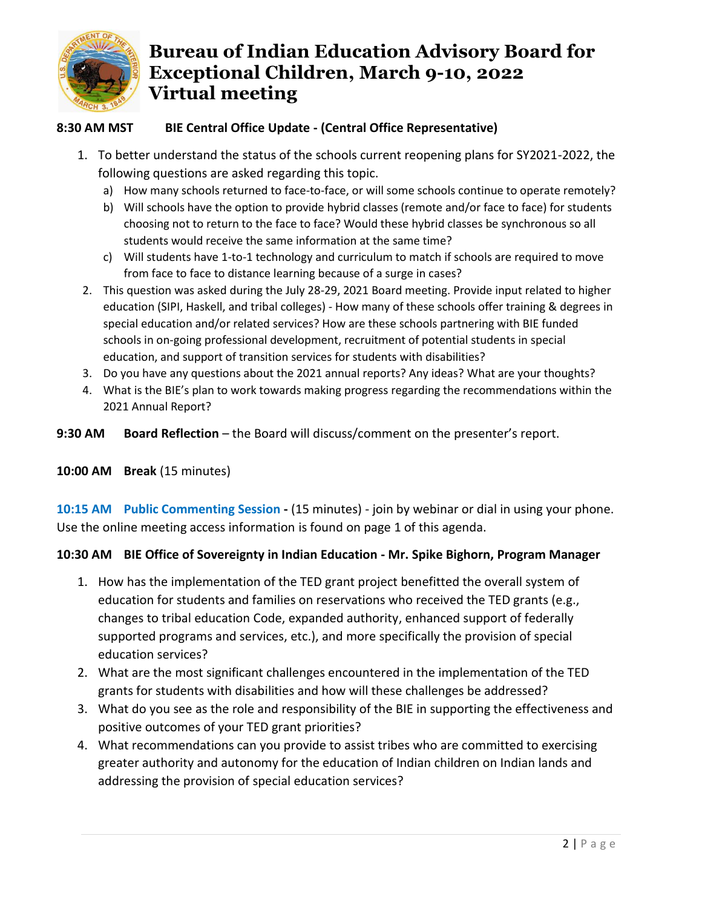

## **8:30 AM MST BIE Central Office Update - (Central Office Representative)**

- 1. To better understand the status of the schools current reopening plans for SY2021-2022, the following questions are asked regarding this topic.
	- a) How many schools returned to face-to-face, or will some schools continue to operate remotely?
	- b) Will schools have the option to provide hybrid classes (remote and/or face to face) for students choosing not to return to the face to face? Would these hybrid classes be synchronous so all students would receive the same information at the same time?
	- c) Will students have 1-to-1 technology and curriculum to match if schools are required to move from face to face to distance learning because of a surge in cases?
- 2. This question was asked during the July 28-29, 2021 Board meeting. Provide input related to higher education (SIPI, Haskell, and tribal colleges) - How many of these schools offer training & degrees in special education and/or related services? How are these schools partnering with BIE funded schools in on-going professional development, recruitment of potential students in special education, and support of transition services for students with disabilities?
- 3. Do you have any questions about the 2021 annual reports? Any ideas? What are your thoughts?
- 4. What is the BIE's plan to work towards making progress regarding the recommendations within the 2021 Annual Report?
- **9:30 AM Board Reflection**  the Board will discuss/comment on the presenter's report.

### **10:00 AM Break** (15 minutes)

**10:15 AM Public Commenting Session -** (15 minutes) - join by webinar or dial in using your phone. Use the online meeting access information is found on page 1 of this agenda.

### **10:30 AM BIE Office of Sovereignty in Indian Education - Mr. Spike Bighorn, Program Manager**

- 1. How has the implementation of the TED grant project benefitted the overall system of education for students and families on reservations who received the TED grants (e.g., changes to tribal education Code, expanded authority, enhanced support of federally supported programs and services, etc.), and more specifically the provision of special education services?
- 2. What are the most significant challenges encountered in the implementation of the TED grants for students with disabilities and how will these challenges be addressed?
- 3. What do you see as the role and responsibility of the BIE in supporting the effectiveness and positive outcomes of your TED grant priorities?
- 4. What recommendations can you provide to assist tribes who are committed to exercising greater authority and autonomy for the education of Indian children on Indian lands and addressing the provision of special education services?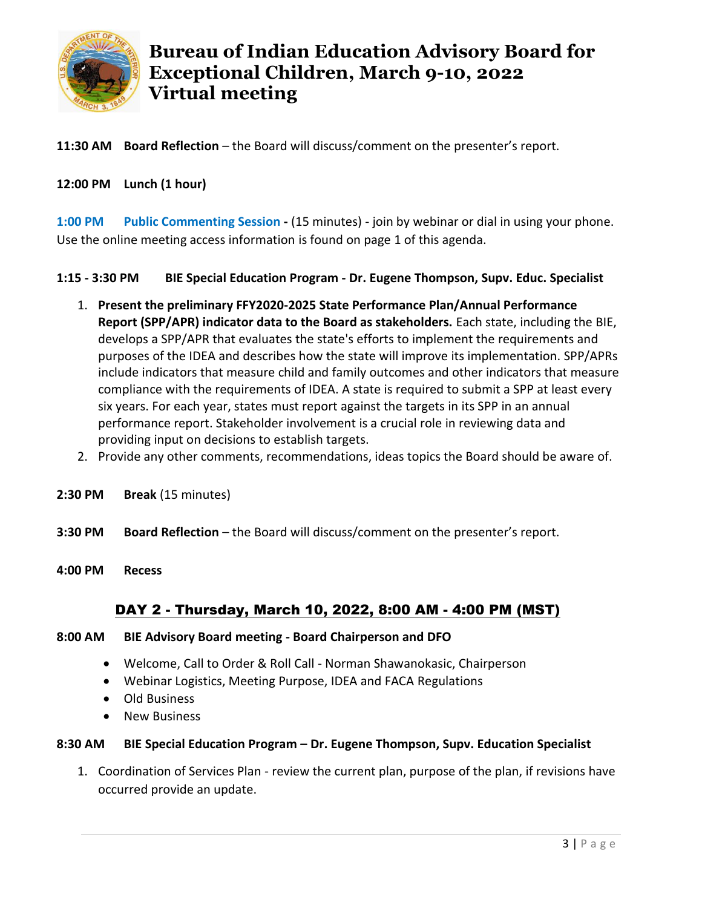

**11:30 AM Board Reflection** – the Board will discuss/comment on the presenter's report.

#### **12:00 PM Lunch (1 hour)**

**1:00 PM Public Commenting Session -** (15 minutes) - join by webinar or dial in using your phone. Use the online meeting access information is found on page 1 of this agenda.

**1:15 - 3:30 PM BIE Special Education Program - Dr. Eugene Thompson, Supv. Educ. Specialist**

- 1. **Present the preliminary FFY2020-2025 State Performance Plan/Annual Performance Report (SPP/APR) indicator data to the Board as stakeholders.** Each state, including the BIE, develops a SPP/APR that evaluates the state's efforts to implement the requirements and purposes of the IDEA and describes how the state will improve its implementation. SPP/APRs include indicators that measure child and family outcomes and other indicators that measure compliance with the requirements of IDEA. A state is required to submit a SPP at least every six years. For each year, states must report against the targets in its SPP in an annual performance report. Stakeholder involvement is a crucial role in reviewing data and providing input on decisions to establish targets.
- 2. Provide any other comments, recommendations, ideas topics the Board should be aware of.
- **2:30 PM Break** (15 minutes)
- **3:30 PM Board Reflection**  the Board will discuss/comment on the presenter's report.
- **4:00 PM Recess**

## DAY 2 - Thursday, March 10, 2022, 8:00 AM - 4:00 PM (MST)

#### **8:00 AM BIE Advisory Board meeting - Board Chairperson and DFO**

- Welcome, Call to Order & Roll Call Norman Shawanokasic, Chairperson
- Webinar Logistics, Meeting Purpose, IDEA and FACA Regulations
- Old Business
- New Business

#### **8:30 AM BIE Special Education Program – Dr. Eugene Thompson, Supv. Education Specialist**

1. Coordination of Services Plan - review the current plan, purpose of the plan, if revisions have occurred provide an update.